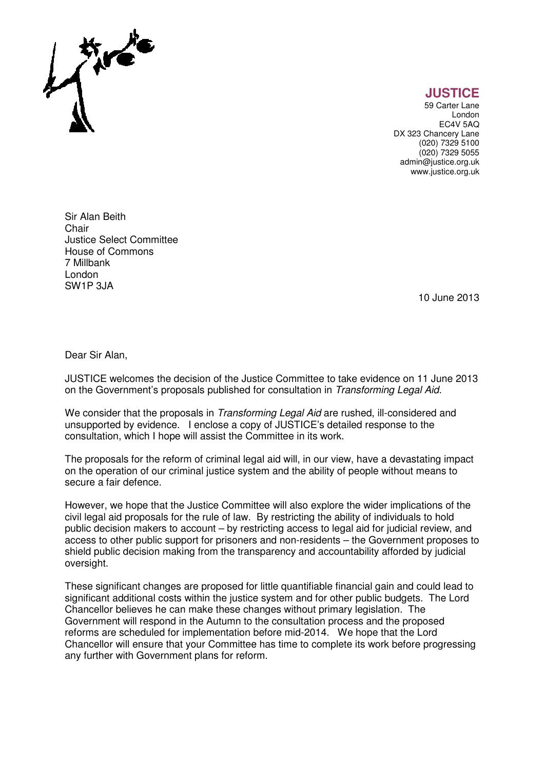

**JUSTICE** 

59 Carter Lane London EC4V 5AQ DX 323 Chancery Lane (020) 7329 5100 (020) 7329 5055 admin@justice.org.uk www.justice.org.uk

Sir Alan Beith **Chair** Justice Select Committee House of Commons 7 Millbank London SW1P 3JA

10 June 2013

Dear Sir Alan,

JUSTICE welcomes the decision of the Justice Committee to take evidence on 11 June 2013 on the Government's proposals published for consultation in Transforming Legal Aid.

We consider that the proposals in *Transforming Legal Aid* are rushed, ill-considered and unsupported by evidence. I enclose a copy of JUSTICE's detailed response to the consultation, which I hope will assist the Committee in its work.

The proposals for the reform of criminal legal aid will, in our view, have a devastating impact on the operation of our criminal justice system and the ability of people without means to secure a fair defence.

However, we hope that the Justice Committee will also explore the wider implications of the civil legal aid proposals for the rule of law. By restricting the ability of individuals to hold public decision makers to account – by restricting access to legal aid for judicial review, and access to other public support for prisoners and non-residents – the Government proposes to shield public decision making from the transparency and accountability afforded by judicial oversight.

These significant changes are proposed for little quantifiable financial gain and could lead to significant additional costs within the justice system and for other public budgets. The Lord Chancellor believes he can make these changes without primary legislation. The Government will respond in the Autumn to the consultation process and the proposed reforms are scheduled for implementation before mid-2014. We hope that the Lord Chancellor will ensure that your Committee has time to complete its work before progressing any further with Government plans for reform.